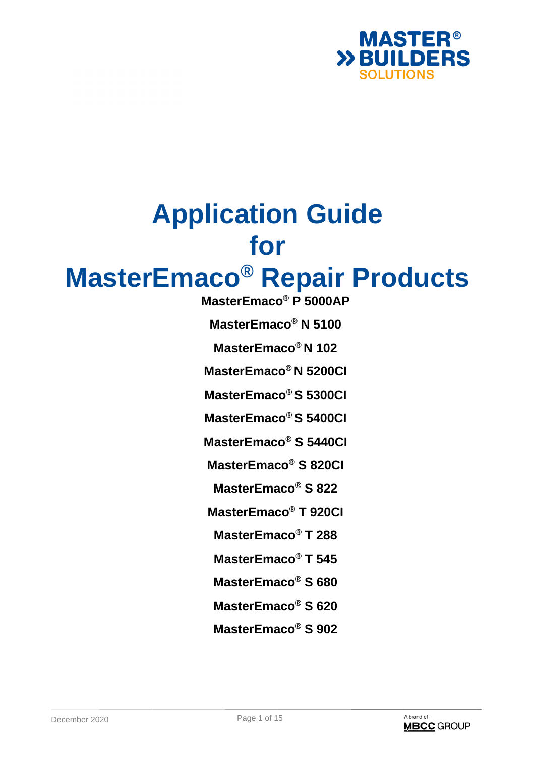

# **Application Guide for**

# **MasterEmaco® Repair Products**

**MasterEmaco® P 5000AP** 

**MasterEmaco® N 5100 MasterEmaco® N 102 MasterEmaco® N 5200CI MasterEmaco® S 5300CI MasterEmaco® S 5400CI MasterEmaco® S 5440CI MasterEmaco® S 820CI MasterEmaco® S 822 MasterEmaco® T 920CI MasterEmaco® T 288 MasterEmaco® T 545 MasterEmaco® S 680 MasterEmaco® S 620 MasterEmaco® S 902**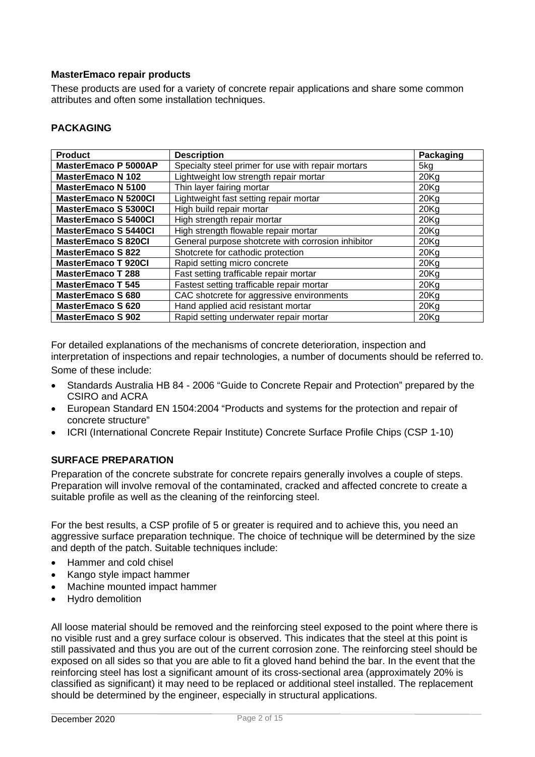## **MasterEmaco repair products**

These products are used for a variety of concrete repair applications and share some common attributes and often some installation techniques.

### **PACKAGING**

| <b>Product</b>              | <b>Description</b>                                 | Packaging |
|-----------------------------|----------------------------------------------------|-----------|
| <b>MasterEmaco P 5000AP</b> | Specialty steel primer for use with repair mortars | 5kg       |
| <b>MasterEmaco N 102</b>    | Lightweight low strength repair mortar             | 20Kg      |
| <b>MasterEmaco N 5100</b>   | Thin layer fairing mortar                          | 20Kg      |
| <b>MasterEmaco N 5200Cl</b> | Lightweight fast setting repair mortar             | 20Kg      |
| <b>MasterEmaco S 5300CI</b> | High build repair mortar                           | 20Kg      |
| <b>MasterEmaco S 5400CI</b> | High strength repair mortar                        | 20Kg      |
| <b>MasterEmaco S 5440CI</b> | High strength flowable repair mortar               | 20Kg      |
| <b>MasterEmaco S 820CI</b>  | General purpose shotcrete with corrosion inhibitor | 20Kg      |
| <b>MasterEmaco S 822</b>    | Shotcrete for cathodic protection                  | 20Kg      |
| <b>MasterEmaco T 920CI</b>  | Rapid setting micro concrete                       | 20Kg      |
| <b>MasterEmaco T 288</b>    | Fast setting trafficable repair mortar             | 20Kg      |
| <b>MasterEmaco T 545</b>    | Fastest setting trafficable repair mortar          | 20Kg      |
| <b>MasterEmaco S 680</b>    | CAC shotcrete for aggressive environments          | 20Kg      |
| <b>MasterEmaco S 620</b>    | Hand applied acid resistant mortar                 | 20Kg      |
| <b>MasterEmaco S 902</b>    | Rapid setting underwater repair mortar             | 20Kg      |

For detailed explanations of the mechanisms of concrete deterioration, inspection and interpretation of inspections and repair technologies, a number of documents should be referred to.

Some of these include:

- Standards Australia HB 84 2006 "Guide to Concrete Repair and Protection" prepared by the CSIRO and ACRA
- European Standard EN 1504:2004 "Products and systems for the protection and repair of concrete structure"
- ICRI (International Concrete Repair Institute) Concrete Surface Profile Chips (CSP 1-10)

### **SURFACE PREPARATION**

Preparation of the concrete substrate for concrete repairs generally involves a couple of steps. Preparation will involve removal of the contaminated, cracked and affected concrete to create a suitable profile as well as the cleaning of the reinforcing steel.

For the best results, a CSP profile of 5 or greater is required and to achieve this, you need an aggressive surface preparation technique. The choice of technique will be determined by the size and depth of the patch. Suitable techniques include:

- Hammer and cold chisel
- Kango style impact hammer
- Machine mounted impact hammer
- Hydro demolition

All loose material should be removed and the reinforcing steel exposed to the point where there is no visible rust and a grey surface colour is observed. This indicates that the steel at this point is still passivated and thus you are out of the current corrosion zone. The reinforcing steel should be exposed on all sides so that you are able to fit a gloved hand behind the bar. In the event that the reinforcing steel has lost a significant amount of its cross-sectional area (approximately 20% is classified as significant) it may need to be replaced or additional steel installed. The replacement should be determined by the engineer, especially in structural applications.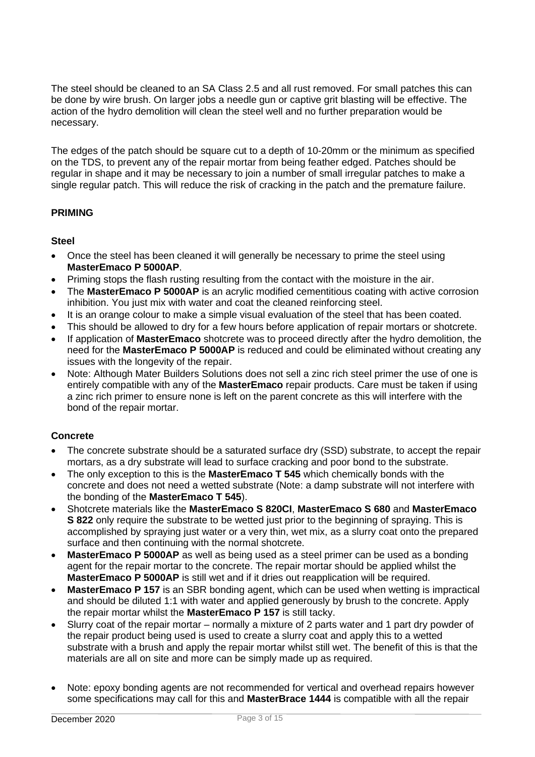The steel should be cleaned to an SA Class 2.5 and all rust removed. For small patches this can be done by wire brush. On larger jobs a needle gun or captive grit blasting will be effective. The action of the hydro demolition will clean the steel well and no further preparation would be necessary.

The edges of the patch should be square cut to a depth of 10-20mm or the minimum as specified on the TDS, to prevent any of the repair mortar from being feather edged. Patches should be regular in shape and it may be necessary to join a number of small irregular patches to make a single regular patch. This will reduce the risk of cracking in the patch and the premature failure.

# **PRIMING**

### **Steel**

- Once the steel has been cleaned it will generally be necessary to prime the steel using **MasterEmaco P 5000AP**.
- Priming stops the flash rusting resulting from the contact with the moisture in the air.
- The **MasterEmaco P 5000AP** is an acrylic modified cementitious coating with active corrosion inhibition. You just mix with water and coat the cleaned reinforcing steel.
- It is an orange colour to make a simple visual evaluation of the steel that has been coated.
- This should be allowed to dry for a few hours before application of repair mortars or shotcrete.
- If application of **MasterEmaco** shotcrete was to proceed directly after the hydro demolition, the need for the **MasterEmaco P 5000AP** is reduced and could be eliminated without creating any issues with the longevity of the repair.
- Note: Although Mater Builders Solutions does not sell a zinc rich steel primer the use of one is entirely compatible with any of the **MasterEmaco** repair products. Care must be taken if using a zinc rich primer to ensure none is left on the parent concrete as this will interfere with the bond of the repair mortar.

### **Concrete**

- The concrete substrate should be a saturated surface dry (SSD) substrate, to accept the repair mortars, as a dry substrate will lead to surface cracking and poor bond to the substrate.
- The only exception to this is the **MasterEmaco T 545** which chemically bonds with the concrete and does not need a wetted substrate (Note: a damp substrate will not interfere with the bonding of the **MasterEmaco T 545**).
- Shotcrete materials like the **MasterEmaco S 820CI**, **MasterEmaco S 680** and **MasterEmaco S 822** only require the substrate to be wetted just prior to the beginning of spraying. This is accomplished by spraying just water or a very thin, wet mix, as a slurry coat onto the prepared surface and then continuing with the normal shotcrete.
- **MasterEmaco P 5000AP** as well as being used as a steel primer can be used as a bonding agent for the repair mortar to the concrete. The repair mortar should be applied whilst the **MasterEmaco P 5000AP** is still wet and if it dries out reapplication will be required.
- **MasterEmaco P 157** is an SBR bonding agent, which can be used when wetting is impractical and should be diluted 1:1 with water and applied generously by brush to the concrete. Apply the repair mortar whilst the **MasterEmaco P 157** is still tacky.
- Slurry coat of the repair mortar normally a mixture of 2 parts water and 1 part dry powder of the repair product being used is used to create a slurry coat and apply this to a wetted substrate with a brush and apply the repair mortar whilst still wet. The benefit of this is that the materials are all on site and more can be simply made up as required.
- Note: epoxy bonding agents are not recommended for vertical and overhead repairs however some specifications may call for this and **MasterBrace 1444** is compatible with all the repair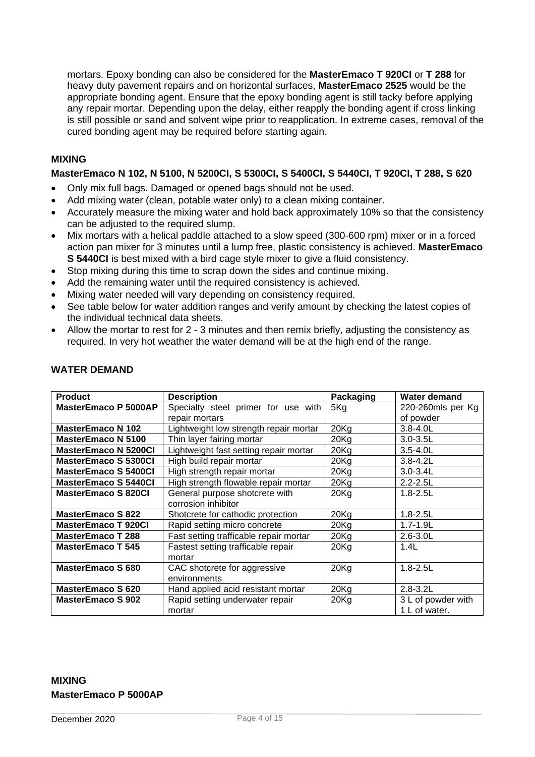mortars. Epoxy bonding can also be considered for the **MasterEmaco T 920CI** or **T 288** for heavy duty pavement repairs and on horizontal surfaces, **MasterEmaco 2525** would be the appropriate bonding agent. Ensure that the epoxy bonding agent is still tacky before applying any repair mortar. Depending upon the delay, either reapply the bonding agent if cross linking is still possible or sand and solvent wipe prior to reapplication. In extreme cases, removal of the cured bonding agent may be required before starting again.

#### **MIXING**

#### **MasterEmaco N 102, N 5100, N 5200CI, S 5300CI, S 5400CI, S 5440CI, T 920CI, T 288, S 620**

- Only mix full bags. Damaged or opened bags should not be used.
- Add mixing water (clean, potable water only) to a clean mixing container.
- Accurately measure the mixing water and hold back approximately 10% so that the consistency can be adjusted to the required slump.
- Mix mortars with a helical paddle attached to a slow speed (300-600 rpm) mixer or in a forced action pan mixer for 3 minutes until a lump free, plastic consistency is achieved. **MasterEmaco S 5440CI** is best mixed with a bird cage style mixer to give a fluid consistency.
- Stop mixing during this time to scrap down the sides and continue mixing.
- Add the remaining water until the required consistency is achieved.
- Mixing water needed will vary depending on consistency required.
- See table below for water addition ranges and verify amount by checking the latest copies of the individual technical data sheets.
- Allow the mortar to rest for 2 3 minutes and then remix briefly, adjusting the consistency as required. In very hot weather the water demand will be at the high end of the range.

| <b>Product</b>              | <b>Description</b>                     | Packaging | <b>Water demand</b> |  |
|-----------------------------|----------------------------------------|-----------|---------------------|--|
| MasterEmaco P 5000AP        | Specialty steel primer for use with    | 5Kg       | 220-260mls per Kg   |  |
|                             | repair mortars                         |           | of powder           |  |
| <b>MasterEmaco N 102</b>    | Lightweight low strength repair mortar | 20Kg      | $3.8 - 4.0$ L       |  |
| <b>MasterEmaco N 5100</b>   | Thin layer fairing mortar              | 20Kg      | $3.0 - 3.5L$        |  |
| <b>MasterEmaco N 5200CI</b> | Lightweight fast setting repair mortar | 20Kg      | $3.5 - 4.0L$        |  |
| <b>MasterEmaco S 5300CI</b> | High build repair mortar               | 20Kg      | $3.8 - 4.2L$        |  |
| <b>MasterEmaco S 5400CI</b> | High strength repair mortar            | 20Kg      | $3.0 - 3.4L$        |  |
| <b>MasterEmaco S 5440CI</b> | High strength flowable repair mortar   | 20Kg      | $2.2 - 2.5L$        |  |
| MasterEmaco S 820CI         | General purpose shotcrete with         | 20Kg      | $1.8 - 2.5L$        |  |
|                             | corrosion inhibitor                    |           |                     |  |
| MasterEmaco S 822           | Shotcrete for cathodic protection      | 20Kg      | $1.8 - 2.5L$        |  |
| MasterEmaco T 920CI         | Rapid setting micro concrete           | 20Kg      | $1.7 - 1.9L$        |  |
| <b>MasterEmaco T 288</b>    | Fast setting trafficable repair mortar | 20Kg      | $2.6 - 3.0$ L       |  |
| <b>MasterEmaco T 545</b>    | Fastest setting trafficable repair     | 20Kg      | 1.4L                |  |
|                             | mortar                                 |           |                     |  |
| MasterEmaco S 680           | CAC shotcrete for aggressive           | 20Kg      | $1.8 - 2.5L$        |  |
|                             | environments                           |           |                     |  |
| MasterEmaco S 620           | Hand applied acid resistant mortar     | 20Kg      | $2.8 - 3.2$ L       |  |
| MasterEmaco S 902           | Rapid setting underwater repair        | $20$ Kg   | 3 L of powder with  |  |
|                             | mortar                                 |           | 1 L of water.       |  |

## **WATER DEMAND**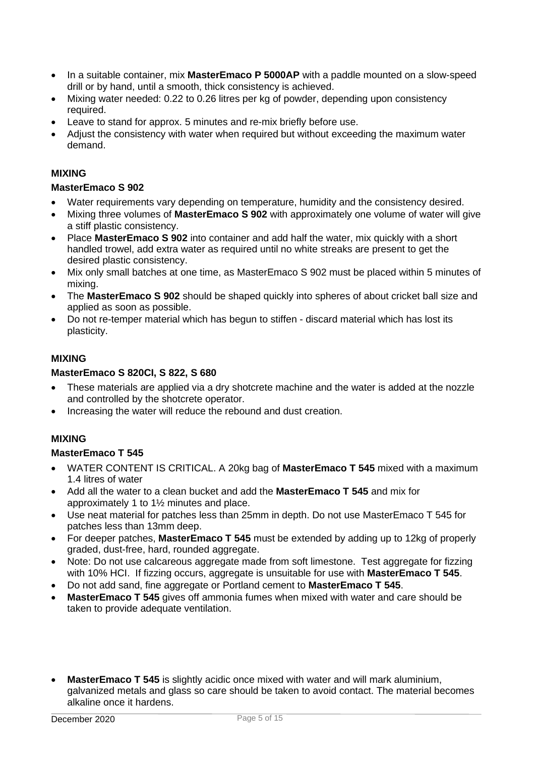- In a suitable container, mix **MasterEmaco P 5000AP** with a paddle mounted on a slow-speed drill or by hand, until a smooth, thick consistency is achieved.
- Mixing water needed: 0.22 to 0.26 litres per kg of powder, depending upon consistency required.
- Leave to stand for approx. 5 minutes and re-mix briefly before use.
- Adjust the consistency with water when required but without exceeding the maximum water demand.

## **MIXING**

## **MasterEmaco S 902**

- Water requirements vary depending on temperature, humidity and the consistency desired.
- Mixing three volumes of **MasterEmaco S 902** with approximately one volume of water will give a stiff plastic consistency.
- Place **MasterEmaco S 902** into container and add half the water, mix quickly with a short handled trowel, add extra water as required until no white streaks are present to get the desired plastic consistency.
- Mix only small batches at one time, as MasterEmaco S 902 must be placed within 5 minutes of mixing.
- The **MasterEmaco S 902** should be shaped quickly into spheres of about cricket ball size and applied as soon as possible.
- Do not re-temper material which has begun to stiffen discard material which has lost its plasticity.

### **MIXING**

#### **MasterEmaco S 820CI, S 822, S 680**

- These materials are applied via a dry shotcrete machine and the water is added at the nozzle and controlled by the shotcrete operator.
- Increasing the water will reduce the rebound and dust creation.

## **MIXING**

### **MasterEmaco T 545**

- WATER CONTENT IS CRITICAL. A 20kg bag of **MasterEmaco T 545** mixed with a maximum 1.4 litres of water
- Add all the water to a clean bucket and add the **MasterEmaco T 545** and mix for approximately 1 to 1½ minutes and place.
- Use neat material for patches less than 25mm in depth. Do not use MasterEmaco T 545 for patches less than 13mm deep.
- For deeper patches, **MasterEmaco T 545** must be extended by adding up to 12kg of properly graded, dust-free, hard, rounded aggregate.
- Note: Do not use calcareous aggregate made from soft limestone. Test aggregate for fizzing with 10% HCI. If fizzing occurs, aggregate is unsuitable for use with **MasterEmaco T 545**.
- Do not add sand, fine aggregate or Portland cement to **MasterEmaco T 545**.
- **MasterEmaco T 545** gives off ammonia fumes when mixed with water and care should be taken to provide adequate ventilation.
- **MasterEmaco T 545** is slightly acidic once mixed with water and will mark aluminium, galvanized metals and glass so care should be taken to avoid contact. The material becomes alkaline once it hardens.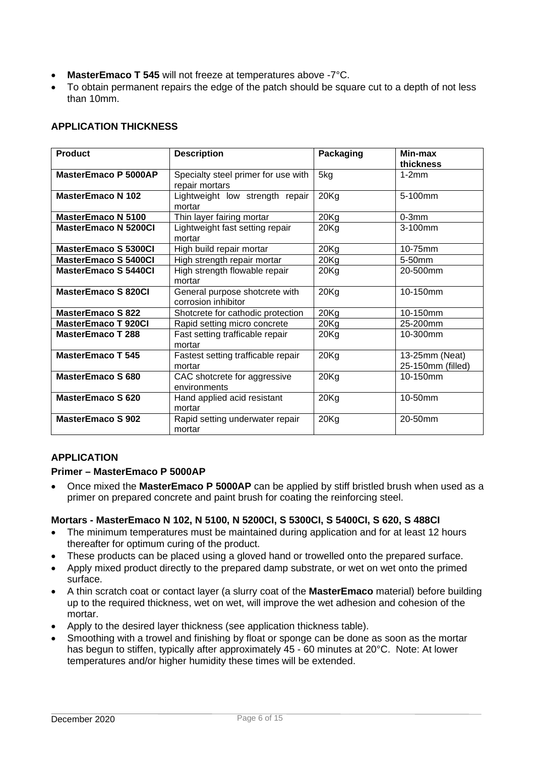- **MasterEmaco T 545** will not freeze at temperatures above -7°C.
- To obtain permanent repairs the edge of the patch should be square cut to a depth of not less than 10mm.

#### **APPLICATION THICKNESS**

| <b>Product</b>                                         | <b>Description</b>                                    | Packaging | Min-max<br>thickness                |  |
|--------------------------------------------------------|-------------------------------------------------------|-----------|-------------------------------------|--|
| <b>MasterEmaco P 5000AP</b>                            | Specialty steel primer for use with<br>repair mortars | 5kg       | $1-2mm$                             |  |
| <b>MasterEmaco N 102</b>                               | Lightweight low strength repair<br>mortar             | 20Kg      | 5-100mm                             |  |
| MasterEmaco N 5100                                     | Thin layer fairing mortar                             | 20Kg      | $0-3mm$                             |  |
| <b>MasterEmaco N 5200CI</b>                            | Lightweight fast setting repair<br>mortar             | 20Kg      | $3-100$ mm                          |  |
| <b>MasterEmaco S 5300CI</b>                            | High build repair mortar                              | 20Kg      | 10-75mm                             |  |
| <b>MasterEmaco S 5400CI</b>                            | High strength repair mortar                           | 20Kg      | 5-50mm                              |  |
| MasterEmaco S 5440CI                                   | High strength flowable repair<br>mortar               | 20Kg      | 20-500mm                            |  |
| MasterEmaco S 820CI                                    | General purpose shotcrete with<br>corrosion inhibitor | 20Kg      | 10-150mm                            |  |
| MasterEmaco S 822<br>Shotcrete for cathodic protection |                                                       | 20Kg      | 10-150mm                            |  |
| <b>MasterEmaco T 920Cl</b>                             | Rapid setting micro concrete                          | 20Kg      | 25-200mm                            |  |
| <b>MasterEmaco T 288</b>                               | Fast setting trafficable repair<br>mortar             | 20Kg      | 10-300mm                            |  |
| <b>MasterEmaco T 545</b>                               | Fastest setting trafficable repair<br>mortar          | 20Kg      | 13-25mm (Neat)<br>25-150mm (filled) |  |
| MasterEmaco S 680                                      | CAC shotcrete for aggressive<br>environments          | 20Kg      | 10-150mm                            |  |
| <b>MasterEmaco S 620</b>                               | Hand applied acid resistant<br>mortar                 | 20Kg      | 10-50mm                             |  |
| <b>MasterEmaco S 902</b>                               | Rapid setting underwater repair<br>mortar             | 20Kg      | 20-50mm                             |  |

## **APPLICATION**

### **Primer – MasterEmaco P 5000AP**

 Once mixed the **MasterEmaco P 5000AP** can be applied by stiff bristled brush when used as a primer on prepared concrete and paint brush for coating the reinforcing steel.

#### **Mortars - MasterEmaco N 102, N 5100, N 5200CI, S 5300CI, S 5400CI, S 620, S 488CI**

- The minimum temperatures must be maintained during application and for at least 12 hours thereafter for optimum curing of the product.
- These products can be placed using a gloved hand or trowelled onto the prepared surface.
- Apply mixed product directly to the prepared damp substrate, or wet on wet onto the primed surface.
- A thin scratch coat or contact layer (a slurry coat of the **MasterEmaco** material) before building up to the required thickness, wet on wet, will improve the wet adhesion and cohesion of the mortar.
- Apply to the desired layer thickness (see application thickness table).
- Smoothing with a trowel and finishing by float or sponge can be done as soon as the mortar has begun to stiffen, typically after approximately 45 - 60 minutes at 20°C. Note: At lower temperatures and/or higher humidity these times will be extended.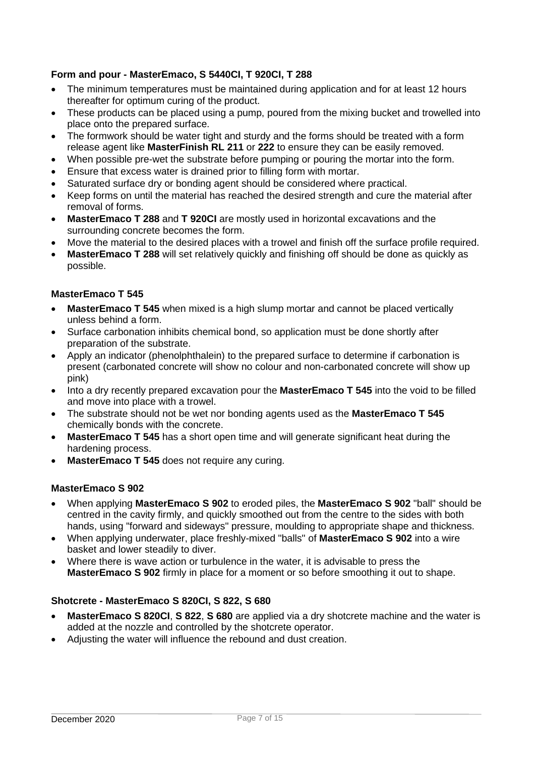# **Form and pour - MasterEmaco, S 5440CI, T 920CI, T 288**

- The minimum temperatures must be maintained during application and for at least 12 hours thereafter for optimum curing of the product.
- These products can be placed using a pump, poured from the mixing bucket and trowelled into place onto the prepared surface.
- The formwork should be water tight and sturdy and the forms should be treated with a form release agent like **MasterFinish RL 211** or **222** to ensure they can be easily removed.
- When possible pre-wet the substrate before pumping or pouring the mortar into the form.
- Ensure that excess water is drained prior to filling form with mortar.
- Saturated surface dry or bonding agent should be considered where practical.
- Keep forms on until the material has reached the desired strength and cure the material after removal of forms.
- **MasterEmaco T 288** and **T 920CI** are mostly used in horizontal excavations and the surrounding concrete becomes the form.
- Move the material to the desired places with a trowel and finish off the surface profile required.
- **MasterEmaco T 288** will set relatively quickly and finishing off should be done as quickly as possible.

### **MasterEmaco T 545**

- **MasterEmaco T 545** when mixed is a high slump mortar and cannot be placed vertically unless behind a form.
- Surface carbonation inhibits chemical bond, so application must be done shortly after preparation of the substrate.
- Apply an indicator (phenolphthalein) to the prepared surface to determine if carbonation is present (carbonated concrete will show no colour and non-carbonated concrete will show up pink)
- Into a dry recently prepared excavation pour the **MasterEmaco T 545** into the void to be filled and move into place with a trowel.
- The substrate should not be wet nor bonding agents used as the **MasterEmaco T 545** chemically bonds with the concrete.
- **MasterEmaco T 545** has a short open time and will generate significant heat during the hardening process.
- **MasterEmaco T 545** does not require any curing.

#### **MasterEmaco S 902**

- When applying **MasterEmaco S 902** to eroded piles, the **MasterEmaco S 902** "ball" should be centred in the cavity firmly, and quickly smoothed out from the centre to the sides with both hands, using "forward and sideways" pressure, moulding to appropriate shape and thickness.
- When applying underwater, place freshly-mixed "balls" of **MasterEmaco S 902** into a wire basket and lower steadily to diver.
- Where there is wave action or turbulence in the water, it is advisable to press the **MasterEmaco S 902** firmly in place for a moment or so before smoothing it out to shape.

### **Shotcrete - MasterEmaco S 820CI, S 822, S 680**

- **MasterEmaco S 820CI**, **S 822**, **S 680** are applied via a dry shotcrete machine and the water is added at the nozzle and controlled by the shotcrete operator.
- Adjusting the water will influence the rebound and dust creation.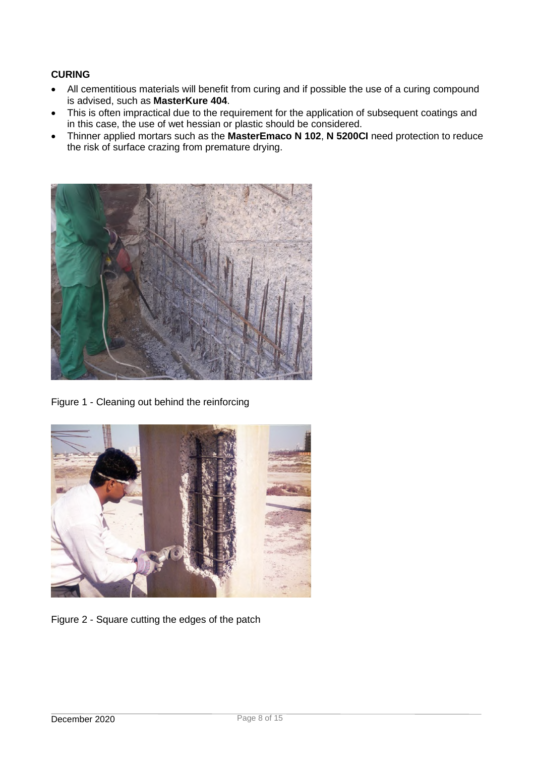# **CURING**

- All cementitious materials will benefit from curing and if possible the use of a curing compound is advised, such as **MasterKure 404**.
- This is often impractical due to the requirement for the application of subsequent coatings and in this case, the use of wet hessian or plastic should be considered.
- Thinner applied mortars such as the **MasterEmaco N 102**, **N 5200CI** need protection to reduce the risk of surface crazing from premature drying.



Figure 1 - Cleaning out behind the reinforcing



Figure 2 - Square cutting the edges of the patch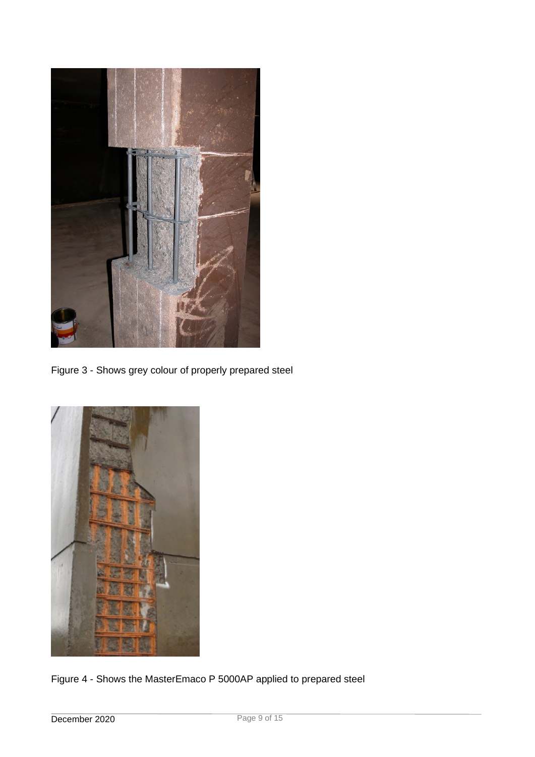

Figure 3 - Shows grey colour of properly prepared steel



Figure 4 - Shows the MasterEmaco P 5000AP applied to prepared steel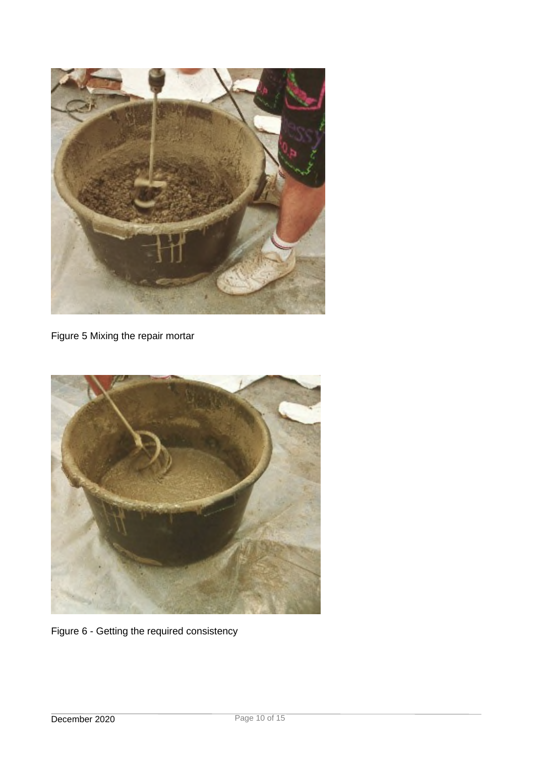

Figure 5 Mixing the repair mortar



Figure 6 - Getting the required consistency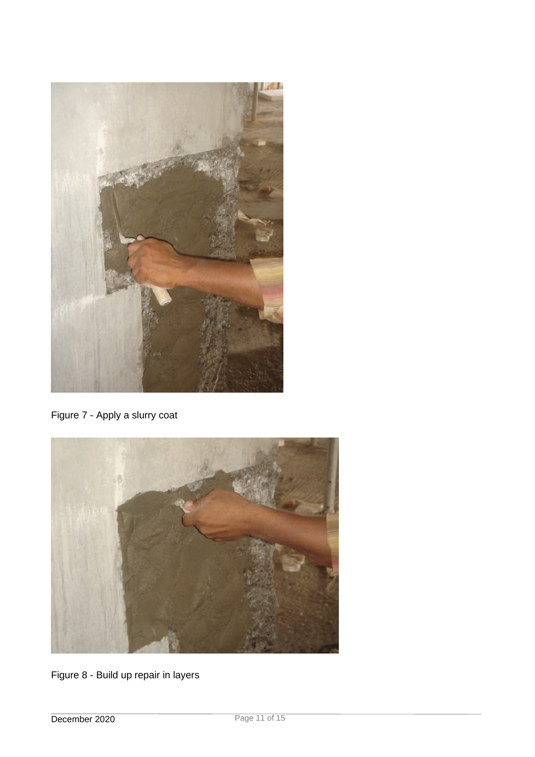

Figure 7 - Apply a slurry coat



Figure 8 - Build up repair in layers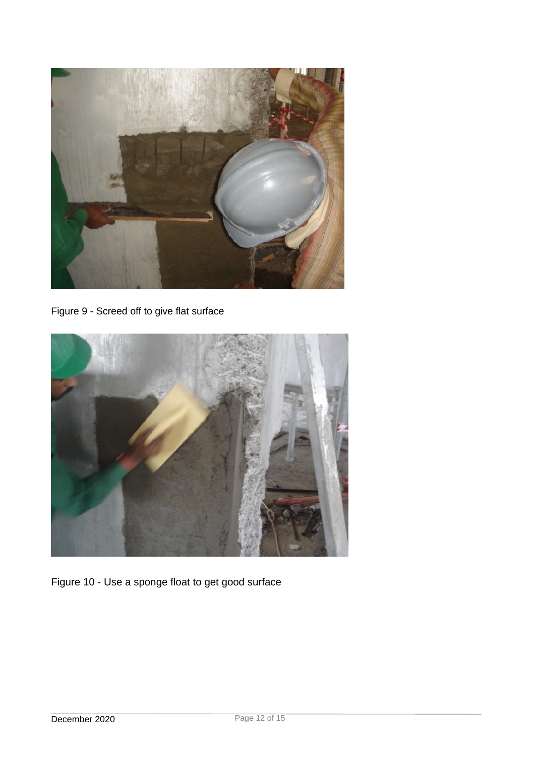

Figure 9 - Screed off to give flat surface



Figure 10 - Use a sponge float to get good surface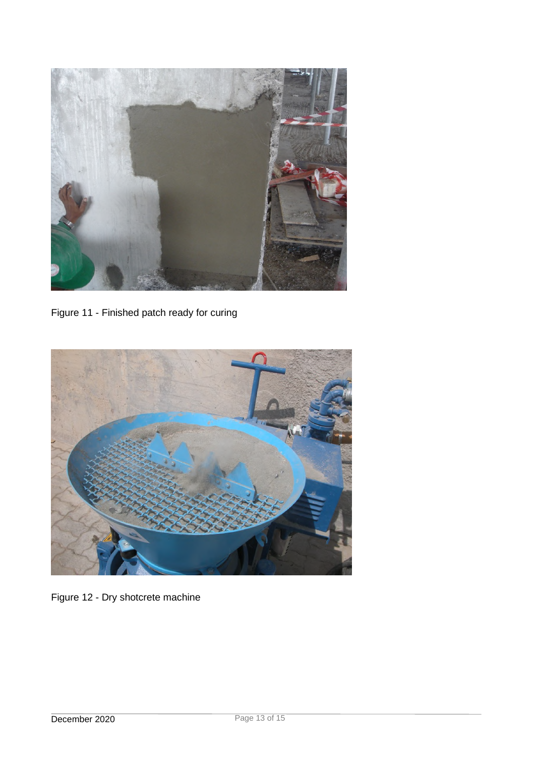

Figure 11 - Finished patch ready for curing



Figure 12 - Dry shotcrete machine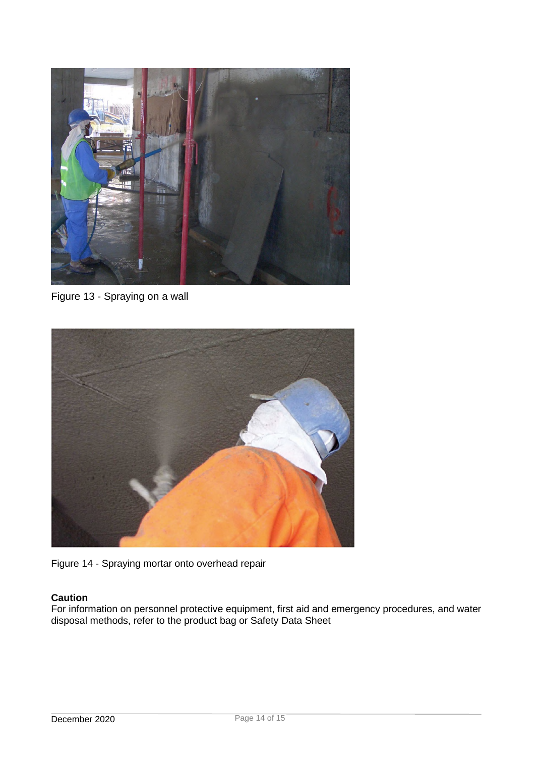

Figure 13 - Spraying on a wall



Figure 14 - Spraying mortar onto overhead repair

# **Caution**

For information on personnel protective equipment, first aid and emergency procedures, and water disposal methods, refer to the product bag or Safety Data Sheet